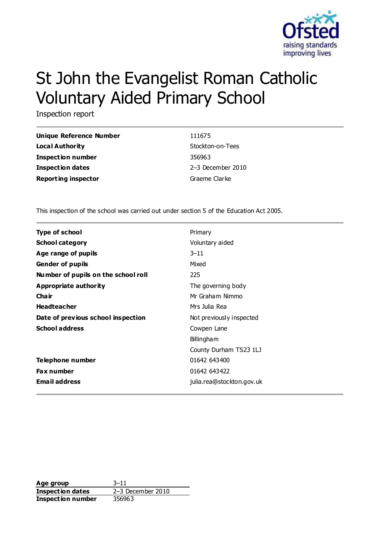

# St John the Evangelist Roman Catholic Voluntary Aided Primary School

Inspection report

| <b>Unique Reference Number</b> |  |
|--------------------------------|--|
| Loca I Authority               |  |
| Inspection number              |  |
| Inspection dates               |  |
| <b>Reporting inspector</b>     |  |

**Unique Reference Number** 111675 **Stockton-on-Tees Inspection number** 356963 **Inspection dates** 2–3 December 2010 **Graeme Clarke** 

This inspection of the school was carried out under section 5 of the Education Act 2005.

| Primary                   |
|---------------------------|
| Voluntary aided           |
| $3 - 11$                  |
| Mixed                     |
| 225                       |
| The governing body        |
| Mr Graham Nimmo           |
| Mrs Julia Rea             |
| Not previously inspected  |
| Cowpen Lane               |
| <b>Billingham</b>         |
| County Durham TS23 1LJ    |
| 01642 643400              |
| 01642 643422              |
| julia.rea@stockton.gov.uk |
|                           |

**Age group** 3–11 **Inspection dates** 2–3 December 2010 **Inspection number** 356963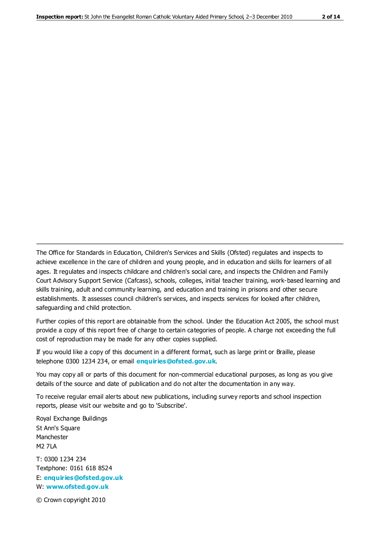The Office for Standards in Education, Children's Services and Skills (Ofsted) regulates and inspects to achieve excellence in the care of children and young people, and in education and skills for learners of all ages. It regulates and inspects childcare and children's social care, and inspects the Children and Family Court Advisory Support Service (Cafcass), schools, colleges, initial teacher training, work-based learning and skills training, adult and community learning, and education and training in prisons and other secure establishments. It assesses council children's services, and inspects services for looked after children, safeguarding and child protection.

Further copies of this report are obtainable from the school. Under the Education Act 2005, the school must provide a copy of this report free of charge to certain categories of people. A charge not exceeding the full cost of reproduction may be made for any other copies supplied.

If you would like a copy of this document in a different format, such as large print or Braille, please telephone 0300 1234 234, or email **[enquiries@ofsted.gov.uk](mailto:enquiries@ofsted.gov.uk)**.

You may copy all or parts of this document for non-commercial educational purposes, as long as you give details of the source and date of publication and do not alter the documentation in any way.

To receive regular email alerts about new publications, including survey reports and school inspection reports, please visit our website and go to 'Subscribe'.

Royal Exchange Buildings St Ann's Square Manchester M2 7LA T: 0300 1234 234 Textphone: 0161 618 8524 E: **[enquiries@ofsted.gov.uk](mailto:enquiries@ofsted.gov.uk)**

W: **[www.ofsted.gov.uk](http://www.ofsted.gov.uk/)**

© Crown copyright 2010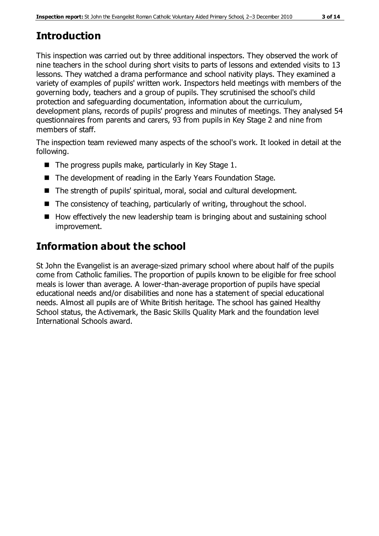# **Introduction**

This inspection was carried out by three additional inspectors. They observed the work of nine teachers in the school during short visits to parts of lessons and extended visits to 13 lessons. They watched a drama performance and school nativity plays. They examined a variety of examples of pupils' written work. Inspectors held meetings with members of the governing body, teachers and a group of pupils. They scrutinised the school's child protection and safeguarding documentation, information about the curriculum, development plans, records of pupils' progress and minutes of meetings. They analysed 54 questionnaires from parents and carers, 93 from pupils in Key Stage 2 and nine from members of staff.

The inspection team reviewed many aspects of the school's work. It looked in detail at the following.

- $\blacksquare$  The progress pupils make, particularly in Key Stage 1.
- The development of reading in the Early Years Foundation Stage.
- The strength of pupils' spiritual, moral, social and cultural development.
- $\blacksquare$  The consistency of teaching, particularly of writing, throughout the school.
- $\blacksquare$  How effectively the new leadership team is bringing about and sustaining school improvement.

# **Information about the school**

St John the Evangelist is an average-sized primary school where about half of the pupils come from Catholic families. The proportion of pupils known to be eligible for free school meals is lower than average. A lower-than-average proportion of pupils have special educational needs and/or disabilities and none has a statement of special educational needs. Almost all pupils are of White British heritage. The school has gained Healthy School status, the Activemark, the Basic Skills Quality Mark and the foundation level International Schools award.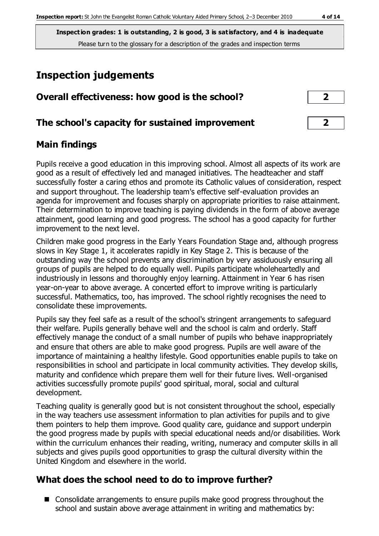# **Inspection judgements**

| Overall effectiveness: how good is the school?  |  |
|-------------------------------------------------|--|
| The school's capacity for sustained improvement |  |

#### **Main findings**

Pupils receive a good education in this improving school. Almost all aspects of its work are good as a result of effectively led and managed initiatives. The headteacher and staff successfully foster a caring ethos and promote its Catholic values of consideration, respect and support throughout. The leadership team's effective self-evaluation provides an agenda for improvement and focuses sharply on appropriate priorities to raise attainment. Their determination to improve teaching is paying dividends in the form of above average attainment, good learning and good progress. The school has a good capacity for further improvement to the next level.

Children make good progress in the Early Years Foundation Stage and, although progress slows in Key Stage 1, it accelerates rapidly in Key Stage 2. This is because of the outstanding way the school prevents any discrimination by very assiduously ensuring all groups of pupils are helped to do equally well. Pupils participate wholeheartedly and industriously in lessons and thoroughly enjoy learning. Attainment in Year 6 has risen year-on-year to above average. A concerted effort to improve writing is particularly successful. Mathematics, too, has improved. The school rightly recognises the need to consolidate these improvements.

Pupils say they feel safe as a result of the school's stringent arrangements to safeguard their welfare. Pupils generally behave well and the school is calm and orderly. Staff effectively manage the conduct of a small number of pupils who behave inappropriately and ensure that others are able to make good progress. Pupils are well aware of the importance of maintaining a healthy lifestyle. Good opportunities enable pupils to take on responsibilities in school and participate in local community activities. They develop skills, maturity and confidence which prepare them well for their future lives. Well-organised activities successfully promote pupils' good spiritual, moral, social and cultural development.

Teaching quality is generally good but is not consistent throughout the school, especially in the way teachers use assessment information to plan activities for pupils and to give them pointers to help them improve. Good quality care, guidance and support underpin the good progress made by pupils with special educational needs and/or disabilities. Work within the curriculum enhances their reading, writing, numeracy and computer skills in all subjects and gives pupils good opportunities to grasp the cultural diversity within the United Kingdom and elsewhere in the world.

### **What does the school need to do to improve further?**

■ Consolidate arrangements to ensure pupils make good progress throughout the school and sustain above average attainment in writing and mathematics by: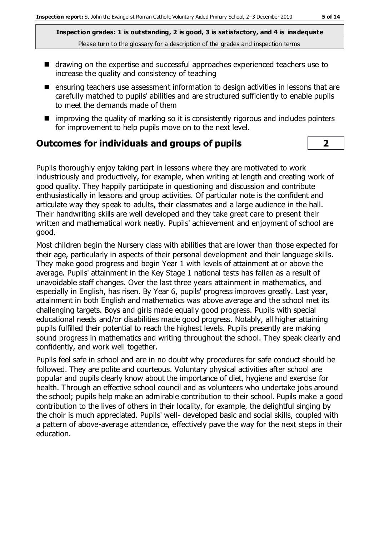- drawing on the expertise and successful approaches experienced teachers use to increase the quality and consistency of teaching
- $\blacksquare$  ensuring teachers use assessment information to design activities in lessons that are carefully matched to pupils' abilities and are structured sufficiently to enable pupils to meet the demands made of them
- $\blacksquare$  improving the quality of marking so it is consistently rigorous and includes pointers for improvement to help pupils move on to the next level.

#### **Outcomes for individuals and groups of pupils 2**

Pupils thoroughly enjoy taking part in lessons where they are motivated to work industriously and productively, for example, when writing at length and creating work of good quality. They happily participate in questioning and discussion and contribute enthusiastically in lessons and group activities. Of particular note is the confident and articulate way they speak to adults, their classmates and a large audience in the hall. Their handwriting skills are well developed and they take great care to present their written and mathematical work neatly. Pupils' achievement and enjoyment of school are good.

Most children begin the Nursery class with abilities that are lower than those expected for their age, particularly in aspects of their personal development and their language skills. They make good progress and begin Year 1 with levels of attainment at or above the average. Pupils' attainment in the Key Stage 1 national tests has fallen as a result of unavoidable staff changes. Over the last three years attainment in mathematics, and especially in English, has risen. By Year 6, pupils' progress improves greatly. Last year, attainment in both English and mathematics was above average and the school met its challenging targets. Boys and girls made equally good progress. Pupils with special educational needs and/or disabilities made good progress. Notably, all higher attaining pupils fulfilled their potential to reach the highest levels. Pupils presently are making sound progress in mathematics and writing throughout the school. They speak clearly and confidently, and work well together.

Pupils feel safe in school and are in no doubt why procedures for safe conduct should be followed. They are polite and courteous. Voluntary physical activities after school are popular and pupils clearly know about the importance of diet, hygiene and exercise for health. Through an effective school council and as volunteers who undertake jobs around the school; pupils help make an admirable contribution to their school. Pupils make a good contribution to the lives of others in their locality, for example, the delightful singing by the choir is much appreciated. Pupils' well- developed basic and social skills, coupled with a pattern of above-average attendance, effectively pave the way for the next steps in their education.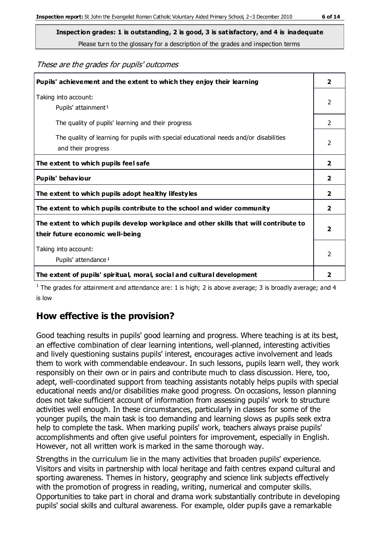These are the grades for pupils' outcomes

| Pupils' achievement and the extent to which they enjoy their learning                                                     | $\overline{2}$ |
|---------------------------------------------------------------------------------------------------------------------------|----------------|
| Taking into account:<br>Pupils' attainment <sup>1</sup>                                                                   | 2              |
| The quality of pupils' learning and their progress                                                                        | 2              |
| The quality of learning for pupils with special educational needs and/or disabilities<br>and their progress               | 2              |
| The extent to which pupils feel safe                                                                                      | $\overline{2}$ |
| Pupils' behaviour                                                                                                         |                |
| The extent to which pupils adopt healthy lifestyles                                                                       | $\mathbf{2}$   |
| The extent to which pupils contribute to the school and wider community                                                   | $\overline{2}$ |
| The extent to which pupils develop workplace and other skills that will contribute to<br>their future economic well-being |                |
| Taking into account:<br>Pupils' attendance <sup>1</sup>                                                                   | 2              |
| The extent of pupils' spiritual, moral, social and cultural development                                                   | 2              |

<sup>1</sup> The grades for attainment and attendance are: 1 is high; 2 is above average; 3 is broadly average; and 4 is low

### **How effective is the provision?**

Good teaching results in pupils' good learning and progress. Where teaching is at its best, an effective combination of clear learning intentions, well-planned, interesting activities and lively questioning sustains pupils' interest, encourages active involvement and leads them to work with commendable endeavour. In such lessons, pupils learn well, they work responsibly on their own or in pairs and contribute much to class discussion. Here, too, adept, well-coordinated support from teaching assistants notably helps pupils with special educational needs and/or disabilities make good progress. On occasions, lesson planning does not take sufficient account of information from assessing pupils' work to structure activities well enough. In these circumstances, particularly in classes for some of the younger pupils, the main task is too demanding and learning slows as pupils seek extra help to complete the task. When marking pupils' work, teachers always praise pupils' accomplishments and often give useful pointers for improvement, especially in English. However, not all written work is marked in the same thorough way.

Strengths in the curriculum lie in the many activities that broaden pupils' experience. Visitors and visits in partnership with local heritage and faith centres expand cultural and sporting awareness. Themes in history, geography and science link subjects effectively with the promotion of progress in reading, writing, numerical and computer skills. Opportunities to take part in choral and drama work substantially contribute in developing pupils' social skills and cultural awareness. For example, older pupils gave a remarkable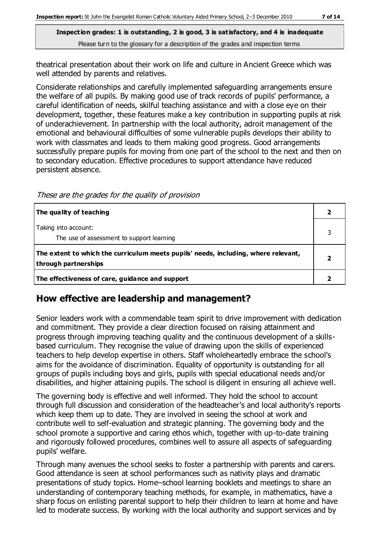theatrical presentation about their work on life and culture in Ancient Greece which was well attended by parents and relatives.

Considerate relationships and carefully implemented safeguarding arrangements ensure the welfare of all pupils. By making good use of track records of pupils' performance, a careful identification of needs, skilful teaching assistance and with a close eye on their development, together, these features make a key contribution in supporting pupils at risk of underachievement. In partnership with the local authority, adroit management of the emotional and behavioural difficulties of some vulnerable pupils develops their ability to work with classmates and leads to them making good progress. Good arrangements successfully prepare pupils for moving from one part of the school to the next and then on to secondary education. Effective procedures to support attendance have reduced persistent absence.

These are the grades for the quality of provision

| The quality of teaching                                                                                    |  |
|------------------------------------------------------------------------------------------------------------|--|
| Taking into account:<br>The use of assessment to support learning                                          |  |
| The extent to which the curriculum meets pupils' needs, including, where relevant,<br>through partnerships |  |
| The effectiveness of care, guidance and support                                                            |  |

#### **How effective are leadership and management?**

Senior leaders work with a commendable team spirit to drive improvement with dedication and commitment. They provide a clear direction focused on raising attainment and progress through improving teaching quality and the continuous development of a skillsbased curriculum. They recognise the value of drawing upon the skills of experienced teachers to help develop expertise in others. Staff wholeheartedly embrace the school's aims for the avoidance of discrimination. Equality of opportunity is outstanding for all groups of pupils including boys and girls, pupils with special educational needs and/or disabilities, and higher attaining pupils. The school is diligent in ensuring all achieve well.

The governing body is effective and well informed. They hold the school to account through full discussion and consideration of the headteacher's and local authority's reports which keep them up to date. They are involved in seeing the school at work and contribute well to self-evaluation and strategic planning. The governing body and the school promote a supportive and caring ethos which, together with up-to-date training and rigorously followed procedures, combines well to assure all aspects of safeguarding pupils' welfare.

Through many avenues the school seeks to foster a partnership with parents and carers. Good attendance is seen at school performances such as nativity plays and dramatic presentations of study topics. Home–school learning booklets and meetings to share an understanding of contemporary teaching methods, for example, in mathematics, have a sharp focus on enlisting parental support to help their children to learn at home and have led to moderate success. By working with the local authority and support services and by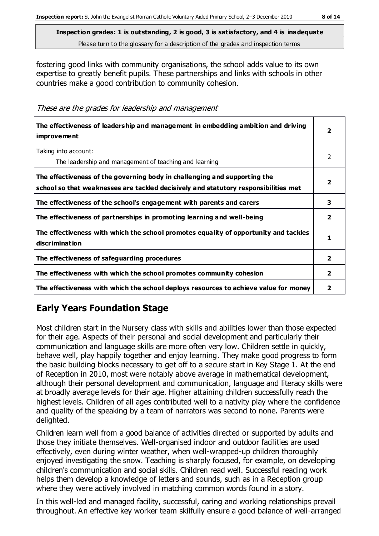fostering good links with community organisations, the school adds value to its own expertise to greatly benefit pupils. These partnerships and links with schools in other countries make a good contribution to community cohesion.

These are the grades for leadership and management

| The effectiveness of leadership and management in embedding ambition and driving<br>improvement                                                                  |                |
|------------------------------------------------------------------------------------------------------------------------------------------------------------------|----------------|
| Taking into account:<br>The leadership and management of teaching and learning                                                                                   | $\mathcal{P}$  |
| The effectiveness of the governing body in challenging and supporting the<br>school so that weaknesses are tackled decisively and statutory responsibilities met | 2              |
| The effectiveness of the school's engagement with parents and carers                                                                                             | 3              |
| The effectiveness of partnerships in promoting learning and well-being                                                                                           | $\mathbf{2}$   |
| The effectiveness with which the school promotes equality of opportunity and tackles<br>discrimination                                                           | 1              |
| The effectiveness of safeguarding procedures                                                                                                                     | $\overline{2}$ |
| The effectiveness with which the school promotes community cohesion                                                                                              | 2              |
| The effectiveness with which the school deploys resources to achieve value for money                                                                             | 2              |

## **Early Years Foundation Stage**

Most children start in the Nursery class with skills and abilities lower than those expected for their age. Aspects of their personal and social development and particularly their communication and language skills are more often very low. Children settle in quickly, behave well, play happily together and enjoy learning. They make good progress to form the basic building blocks necessary to get off to a secure start in Key Stage 1. At the end of Reception in 2010, most were notably above average in mathematical development, although their personal development and communication, language and literacy skills were at broadly average levels for their age. Higher attaining children successfully reach the highest levels. Children of all ages contributed well to a nativity play where the confidence and quality of the speaking by a team of narrators was second to none. Parents were delighted.

Children learn well from a good balance of activities directed or supported by adults and those they initiate themselves. Well-organised indoor and outdoor facilities are used effectively, even during winter weather, when well-wrapped-up children thoroughly enjoyed investigating the snow. Teaching is sharply focused, for example, on developing children's communication and social skills. Children read well. Successful reading work helps them develop a knowledge of letters and sounds, such as in a Reception group where they were actively involved in matching common words found in a story.

In this well-led and managed facility, successful, caring and working relationships prevail throughout. An effective key worker team skilfully ensure a good balance of well-arranged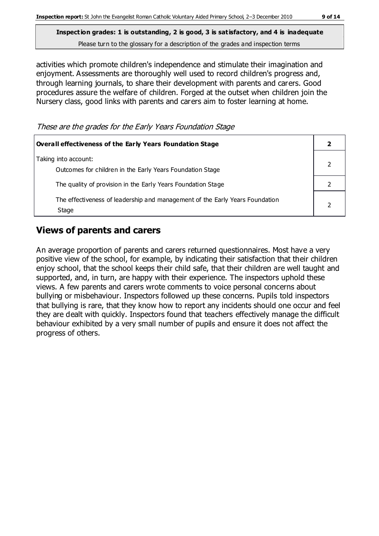activities which promote children's independence and stimulate their imagination and enjoyment. Assessments are thoroughly well used to record children's progress and, through learning journals, to share their development with parents and carers. Good procedures assure the welfare of children. Forged at the outset when children join the Nursery class, good links with parents and carers aim to foster learning at home.

These are the grades for the Early Years Foundation Stage

| <b>Overall effectiveness of the Early Years Foundation Stage</b>                      |  |  |
|---------------------------------------------------------------------------------------|--|--|
| Taking into account:<br>Outcomes for children in the Early Years Foundation Stage     |  |  |
| The quality of provision in the Early Years Foundation Stage                          |  |  |
| The effectiveness of leadership and management of the Early Years Foundation<br>Stage |  |  |

#### **Views of parents and carers**

An average proportion of parents and carers returned questionnaires. Most have a very positive view of the school, for example, by indicating their satisfaction that their children enjoy school, that the school keeps their child safe, that their children are well taught and supported, and, in turn, are happy with their experience. The inspectors uphold these views. A few parents and carers wrote comments to voice personal concerns about bullying or misbehaviour. Inspectors followed up these concerns. Pupils told inspectors that bullying is rare, that they know how to report any incidents should one occur and feel they are dealt with quickly. Inspectors found that teachers effectively manage the difficult behaviour exhibited by a very small number of pupils and ensure it does not affect the progress of others.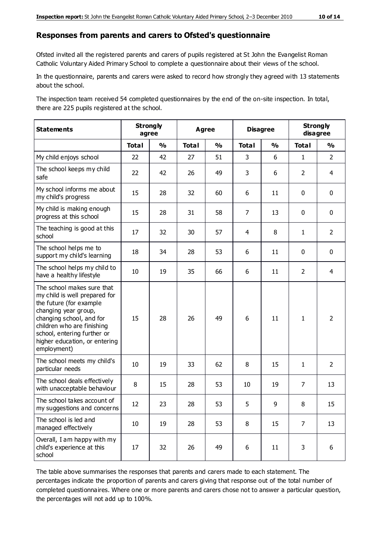#### **Responses from parents and carers to Ofsted's questionnaire**

Ofsted invited all the registered parents and carers of pupils registered at St John the Evangelist Roman Catholic Voluntary Aided Primary School to complete a questionnaire about their views of t he school.

In the questionnaire, parents and carers were asked to record how strongly they agreed with 13 statements about the school.

The inspection team received 54 completed questionnaires by the end of the on-site inspection. In total, there are 225 pupils registered at the school.

| <b>Statements</b>                                                                                                                                                                                                                                       | <b>Strongly</b><br><b>Agree</b><br>agree |               |              | <b>Disagree</b> |                | <b>Strongly</b><br>disagree |                |                |
|---------------------------------------------------------------------------------------------------------------------------------------------------------------------------------------------------------------------------------------------------------|------------------------------------------|---------------|--------------|-----------------|----------------|-----------------------------|----------------|----------------|
|                                                                                                                                                                                                                                                         | <b>Total</b>                             | $\frac{1}{2}$ | <b>Total</b> | $\frac{1}{2}$   | <b>Total</b>   | $\frac{1}{2}$               | <b>Total</b>   | $\frac{1}{2}$  |
| My child enjoys school                                                                                                                                                                                                                                  | 22                                       | 42            | 27           | 51              | 3              | 6                           | $\mathbf{1}$   | $\overline{2}$ |
| The school keeps my child<br>safe                                                                                                                                                                                                                       | 22                                       | 42            | 26           | 49              | 3              | 6                           | $\overline{2}$ | $\overline{4}$ |
| My school informs me about<br>my child's progress                                                                                                                                                                                                       | 15                                       | 28            | 32           | 60              | 6              | 11                          | $\mathbf 0$    | $\mathbf 0$    |
| My child is making enough<br>progress at this school                                                                                                                                                                                                    | 15                                       | 28            | 31           | 58              | $\overline{7}$ | 13                          | $\mathbf 0$    | $\mathbf 0$    |
| The teaching is good at this<br>school                                                                                                                                                                                                                  | 17                                       | 32            | 30           | 57              | 4              | 8                           | $\mathbf{1}$   | $\overline{2}$ |
| The school helps me to<br>support my child's learning                                                                                                                                                                                                   | 18                                       | 34            | 28           | 53              | 6              | 11                          | $\mathbf 0$    | $\mathbf 0$    |
| The school helps my child to<br>have a healthy lifestyle                                                                                                                                                                                                | 10                                       | 19            | 35           | 66              | 6              | 11                          | $\overline{2}$ | 4              |
| The school makes sure that<br>my child is well prepared for<br>the future (for example<br>changing year group,<br>changing school, and for<br>children who are finishing<br>school, entering further or<br>higher education, or entering<br>employment) | 15                                       | 28            | 26           | 49              | 6              | 11                          | $\mathbf{1}$   | $\overline{2}$ |
| The school meets my child's<br>particular needs                                                                                                                                                                                                         | 10                                       | 19            | 33           | 62              | 8              | 15                          | $\mathbf{1}$   | $\overline{2}$ |
| The school deals effectively<br>with unacceptable behaviour                                                                                                                                                                                             | 8                                        | 15            | 28           | 53              | 10             | 19                          | $\overline{7}$ | 13             |
| The school takes account of<br>my suggestions and concerns                                                                                                                                                                                              | 12                                       | 23            | 28           | 53              | 5              | 9                           | 8              | 15             |
| The school is led and<br>managed effectively                                                                                                                                                                                                            | 10                                       | 19            | 28           | 53              | 8              | 15                          | $\overline{7}$ | 13             |
| Overall, I am happy with my<br>child's experience at this<br>school                                                                                                                                                                                     | 17                                       | 32            | 26           | 49              | 6              | $11\,$                      | 3              | 6              |

The table above summarises the responses that parents and carers made to each statement. The percentages indicate the proportion of parents and carers giving that response out of the total number of completed questionnaires. Where one or more parents and carers chose not to answer a particular question, the percentages will not add up to 100%.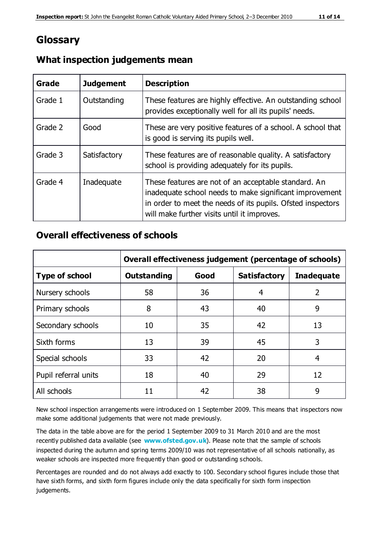# **Glossary**

| Grade   | <b>Judgement</b> | <b>Description</b>                                                                                                                                                                                                            |
|---------|------------------|-------------------------------------------------------------------------------------------------------------------------------------------------------------------------------------------------------------------------------|
| Grade 1 | Outstanding      | These features are highly effective. An outstanding school<br>provides exceptionally well for all its pupils' needs.                                                                                                          |
| Grade 2 | Good             | These are very positive features of a school. A school that<br>is good is serving its pupils well.                                                                                                                            |
| Grade 3 | Satisfactory     | These features are of reasonable quality. A satisfactory<br>school is providing adequately for its pupils.                                                                                                                    |
| Grade 4 | Inadequate       | These features are not of an acceptable standard. An<br>inadequate school needs to make significant improvement<br>in order to meet the needs of its pupils. Ofsted inspectors<br>will make further visits until it improves. |

#### **What inspection judgements mean**

#### **Overall effectiveness of schools**

|                       | Overall effectiveness judgement (percentage of schools) |      |                     |                   |
|-----------------------|---------------------------------------------------------|------|---------------------|-------------------|
| <b>Type of school</b> | <b>Outstanding</b>                                      | Good | <b>Satisfactory</b> | <b>Inadequate</b> |
| Nursery schools       | 58                                                      | 36   | 4                   | 2                 |
| Primary schools       | 8                                                       | 43   | 40                  | 9                 |
| Secondary schools     | 10                                                      | 35   | 42                  | 13                |
| Sixth forms           | 13                                                      | 39   | 45                  | 3                 |
| Special schools       | 33                                                      | 42   | 20                  | 4                 |
| Pupil referral units  | 18                                                      | 40   | 29                  | 12                |
| All schools           | 11                                                      | 42   | 38                  | 9                 |

New school inspection arrangements were introduced on 1 September 2009. This means that inspectors now make some additional judgements that were not made previously.

The data in the table above are for the period 1 September 2009 to 31 March 2010 and are the most recently published data available (see **[www.ofsted.gov.uk](http://www.ofsted.gov.uk/)**). Please note that the sample of schools inspected during the autumn and spring terms 2009/10 was not representative of all schools nationally, as weaker schools are inspected more frequently than good or outstanding schools.

Percentages are rounded and do not always add exactly to 100. Secondary school figures include those that have sixth forms, and sixth form figures include only the data specifically for sixth form inspection judgements.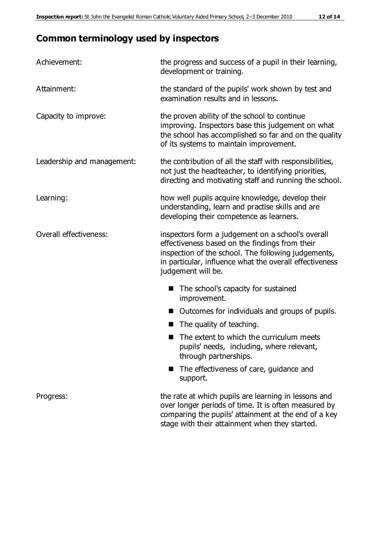# **Common terminology used by inspectors**

| Achievement:               | the progress and success of a pupil in their learning,<br>development or training.                                                                                                                                                          |  |  |
|----------------------------|---------------------------------------------------------------------------------------------------------------------------------------------------------------------------------------------------------------------------------------------|--|--|
| Attainment:                | the standard of the pupils' work shown by test and<br>examination results and in lessons.                                                                                                                                                   |  |  |
| Capacity to improve:       | the proven ability of the school to continue<br>improving. Inspectors base this judgement on what<br>the school has accomplished so far and on the quality<br>of its systems to maintain improvement.                                       |  |  |
| Leadership and management: | the contribution of all the staff with responsibilities,<br>not just the headteacher, to identifying priorities,<br>directing and motivating staff and running the school.                                                                  |  |  |
| Learning:                  | how well pupils acquire knowledge, develop their<br>understanding, learn and practise skills and are<br>developing their competence as learners.                                                                                            |  |  |
| Overall effectiveness:     | inspectors form a judgement on a school's overall<br>effectiveness based on the findings from their<br>inspection of the school. The following judgements,<br>in particular, influence what the overall effectiveness<br>judgement will be. |  |  |
|                            | The school's capacity for sustained<br>improvement.                                                                                                                                                                                         |  |  |
|                            | Outcomes for individuals and groups of pupils.                                                                                                                                                                                              |  |  |
|                            | The quality of teaching.                                                                                                                                                                                                                    |  |  |
|                            | The extent to which the curriculum meets<br>pupils' needs, including, where relevant,<br>through partnerships.                                                                                                                              |  |  |
|                            | The effectiveness of care, guidance and<br>support.                                                                                                                                                                                         |  |  |
| Progress:                  | the rate at which pupils are learning in lessons and<br>over longer periods of time. It is often measured by<br>comparing the pupils' attainment at the end of a key                                                                        |  |  |

stage with their attainment when they started.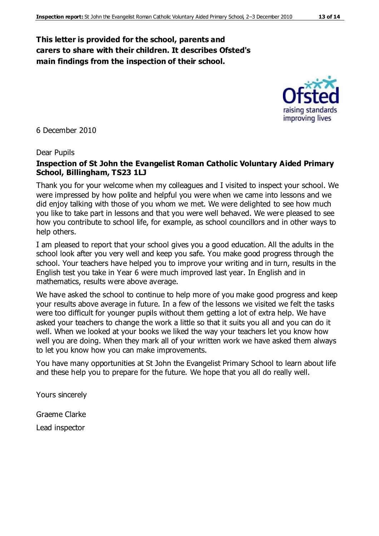#### **This letter is provided for the school, parents and carers to share with their children. It describes Ofsted's main findings from the inspection of their school.**



6 December 2010

#### Dear Pupils

#### **Inspection of St John the Evangelist Roman Catholic Voluntary Aided Primary School, Billingham, TS23 1LJ**

Thank you for your welcome when my colleagues and I visited to inspect your school. We were impressed by how polite and helpful you were when we came into lessons and we did enjoy talking with those of you whom we met. We were delighted to see how much you like to take part in lessons and that you were well behaved. We were pleased to see how you contribute to school life, for example, as school councillors and in other ways to help others.

I am pleased to report that your school gives you a good education. All the adults in the school look after you very well and keep you safe. You make good progress through the school. Your teachers have helped you to improve your writing and in turn, results in the English test you take in Year 6 were much improved last year. In English and in mathematics, results were above average.

We have asked the school to continue to help more of you make good progress and keep your results above average in future. In a few of the lessons we visited we felt the tasks were too difficult for younger pupils without them getting a lot of extra help. We have asked your teachers to change the work a little so that it suits you all and you can do it well. When we looked at your books we liked the way your teachers let you know how well you are doing. When they mark all of your written work we have asked them always to let you know how you can make improvements.

You have many opportunities at St John the Evangelist Primary School to learn about life and these help you to prepare for the future. We hope that you all do really well.

Yours sincerely

Graeme Clarke

Lead inspector